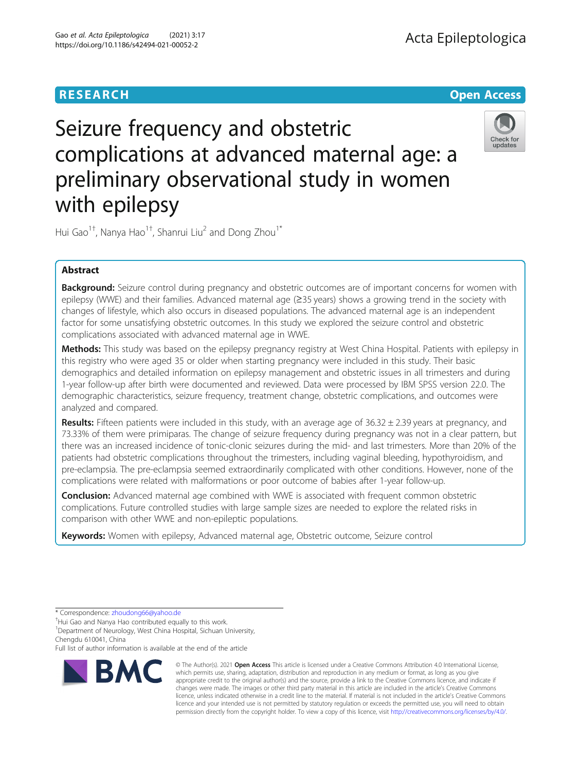

# Seizure frequency and obstetric complications at advanced maternal age: a preliminary observational study in women with epilepsy



Hui Gao $^{1\dagger}$ , Nanya Hao $^{1\dagger}$ , Shanrui Liu $^2$  and Dong Zhou $^{1^\ast}$ 

# Abstract

**Background:** Seizure control during pregnancy and obstetric outcomes are of important concerns for women with epilepsy (WWE) and their families. Advanced maternal age (≥35 years) shows a growing trend in the society with changes of lifestyle, which also occurs in diseased populations. The advanced maternal age is an independent factor for some unsatisfying obstetric outcomes. In this study we explored the seizure control and obstetric complications associated with advanced maternal age in WWE.

Methods: This study was based on the epilepsy pregnancy registry at West China Hospital. Patients with epilepsy in this registry who were aged 35 or older when starting pregnancy were included in this study. Their basic demographics and detailed information on epilepsy management and obstetric issues in all trimesters and during 1-year follow-up after birth were documented and reviewed. Data were processed by IBM SPSS version 22.0. The demographic characteristics, seizure frequency, treatment change, obstetric complications, and outcomes were analyzed and compared.

Results: Fifteen patients were included in this study, with an average age of  $36.32 \pm 2.39$  years at pregnancy, and 73.33% of them were primiparas. The change of seizure frequency during pregnancy was not in a clear pattern, but there was an increased incidence of tonic-clonic seizures during the mid- and last trimesters. More than 20% of the patients had obstetric complications throughout the trimesters, including vaginal bleeding, hypothyroidism, and pre-eclampsia. The pre-eclampsia seemed extraordinarily complicated with other conditions. However, none of the complications were related with malformations or poor outcome of babies after 1-year follow-up.

**Conclusion:** Advanced maternal age combined with WWE is associated with frequent common obstetric complications. Future controlled studies with large sample sizes are needed to explore the related risks in comparison with other WWE and non-epileptic populations.

Keywords: Women with epilepsy, Advanced maternal age, Obstetric outcome, Seizure control

\* Correspondence: [zhoudong66@yahoo.de](mailto:zhoudong66@yahoo.de) †

<sup>+</sup>Hui Gao and Nanya Hao contributed equally to this work.

<sup>1</sup>Department of Neurology, West China Hospital, Sichuan University, Chengdu 610041, China

Full list of author information is available at the end of the article



© The Author(s). 2021 Open Access This article is licensed under a Creative Commons Attribution 4.0 International License, which permits use, sharing, adaptation, distribution and reproduction in any medium or format, as long as you give appropriate credit to the original author(s) and the source, provide a link to the Creative Commons licence, and indicate if changes were made. The images or other third party material in this article are included in the article's Creative Commons licence, unless indicated otherwise in a credit line to the material. If material is not included in the article's Creative Commons licence and your intended use is not permitted by statutory regulation or exceeds the permitted use, you will need to obtain permission directly from the copyright holder. To view a copy of this licence, visit [http://creativecommons.org/licenses/by/4.0/.](http://creativecommons.org/licenses/by/4.0/)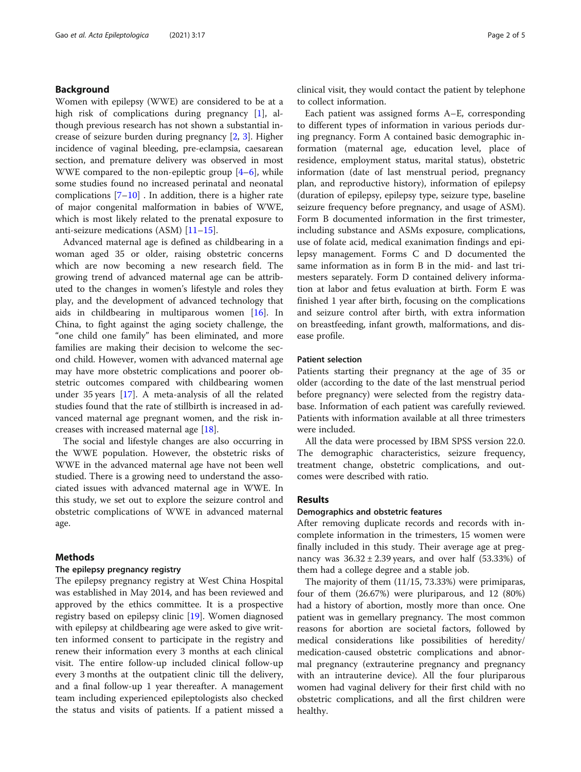# Background

Women with epilepsy (WWE) are considered to be at a high risk of complications during pregnancy [[1](#page-4-0)], although previous research has not shown a substantial increase of seizure burden during pregnancy [[2,](#page-4-0) [3\]](#page-4-0). Higher incidence of vaginal bleeding, pre-eclampsia, caesarean section, and premature delivery was observed in most WWE compared to the non-epileptic group [[4](#page-4-0)–[6](#page-4-0)], while some studies found no increased perinatal and neonatal complications  $[7-10]$  $[7-10]$  $[7-10]$ . In addition, there is a higher rate of major congenital malformation in babies of WWE, which is most likely related to the prenatal exposure to anti-seizure medications (ASM) [[11](#page-4-0)–[15](#page-4-0)].

Advanced maternal age is defined as childbearing in a woman aged 35 or older, raising obstetric concerns which are now becoming a new research field. The growing trend of advanced maternal age can be attributed to the changes in women's lifestyle and roles they play, and the development of advanced technology that aids in childbearing in multiparous women [\[16](#page-4-0)]. In China, to fight against the aging society challenge, the "one child one family" has been eliminated, and more families are making their decision to welcome the second child. However, women with advanced maternal age may have more obstetric complications and poorer obstetric outcomes compared with childbearing women under 35 years [\[17\]](#page-4-0). A meta-analysis of all the related studies found that the rate of stillbirth is increased in advanced maternal age pregnant women, and the risk increases with increased maternal age [\[18](#page-4-0)].

The social and lifestyle changes are also occurring in the WWE population. However, the obstetric risks of WWE in the advanced maternal age have not been well studied. There is a growing need to understand the associated issues with advanced maternal age in WWE. In this study, we set out to explore the seizure control and obstetric complications of WWE in advanced maternal age.

# Methods

# The epilepsy pregnancy registry

The epilepsy pregnancy registry at West China Hospital was established in May 2014, and has been reviewed and approved by the ethics committee. It is a prospective registry based on epilepsy clinic [[19\]](#page-4-0). Women diagnosed with epilepsy at childbearing age were asked to give written informed consent to participate in the registry and renew their information every 3 months at each clinical visit. The entire follow-up included clinical follow-up every 3 months at the outpatient clinic till the delivery, and a final follow-up 1 year thereafter. A management team including experienced epileptologists also checked the status and visits of patients. If a patient missed a clinical visit, they would contact the patient by telephone to collect information.

Each patient was assigned forms A–E, corresponding to different types of information in various periods during pregnancy. Form A contained basic demographic information (maternal age, education level, place of residence, employment status, marital status), obstetric information (date of last menstrual period, pregnancy plan, and reproductive history), information of epilepsy (duration of epilepsy, epilepsy type, seizure type, baseline seizure frequency before pregnancy, and usage of ASM). Form B documented information in the first trimester, including substance and ASMs exposure, complications, use of folate acid, medical exanimation findings and epilepsy management. Forms C and D documented the same information as in form B in the mid- and last trimesters separately. Form D contained delivery information at labor and fetus evaluation at birth. Form E was finished 1 year after birth, focusing on the complications and seizure control after birth, with extra information on breastfeeding, infant growth, malformations, and disease profile.

# Patient selection

Patients starting their pregnancy at the age of 35 or older (according to the date of the last menstrual period before pregnancy) were selected from the registry database. Information of each patient was carefully reviewed. Patients with information available at all three trimesters were included.

All the data were processed by IBM SPSS version 22.0. The demographic characteristics, seizure frequency, treatment change, obstetric complications, and outcomes were described with ratio.

# Results

### Demographics and obstetric features

After removing duplicate records and records with incomplete information in the trimesters, 15 women were finally included in this study. Their average age at pregnancy was  $36.32 \pm 2.39$  years, and over half (53.33%) of them had a college degree and a stable job.

The majority of them (11/15, 73.33%) were primiparas, four of them (26.67%) were pluriparous, and 12 (80%) had a history of abortion, mostly more than once. One patient was in gemellary pregnancy. The most common reasons for abortion are societal factors, followed by medical considerations like possibilities of heredity/ medication-caused obstetric complications and abnormal pregnancy (extrauterine pregnancy and pregnancy with an intrauterine device). All the four pluriparous women had vaginal delivery for their first child with no obstetric complications, and all the first children were healthy.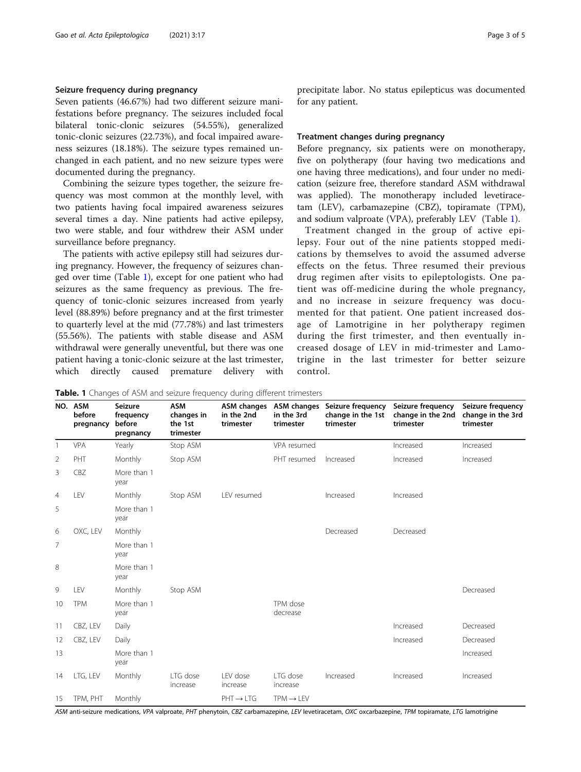# Seizure frequency during pregnancy

Seven patients (46.67%) had two different seizure manifestations before pregnancy. The seizures included focal bilateral tonic-clonic seizures (54.55%), generalized tonic-clonic seizures (22.73%), and focal impaired awareness seizures (18.18%). The seizure types remained unchanged in each patient, and no new seizure types were documented during the pregnancy.

Combining the seizure types together, the seizure frequency was most common at the monthly level, with two patients having focal impaired awareness seizures several times a day. Nine patients had active epilepsy, two were stable, and four withdrew their ASM under surveillance before pregnancy.

The patients with active epilepsy still had seizures during pregnancy. However, the frequency of seizures changed over time (Table 1), except for one patient who had seizures as the same frequency as previous. The frequency of tonic-clonic seizures increased from yearly level (88.89%) before pregnancy and at the first trimester to quarterly level at the mid (77.78%) and last trimesters (55.56%). The patients with stable disease and ASM withdrawal were generally uneventful, but there was one patient having a tonic-clonic seizure at the last trimester, which directly caused premature delivery with precipitate labor. No status epilepticus was documented for any patient.

# Treatment changes during pregnancy

Before pregnancy, six patients were on monotherapy, five on polytherapy (four having two medications and one having three medications), and four under no medication (seizure free, therefore standard ASM withdrawal was applied). The monotherapy included levetiracetam (LEV), carbamazepine (CBZ), topiramate (TPM), and sodium valproate (VPA), preferably LEV (Table 1).

Treatment changed in the group of active epilepsy. Four out of the nine patients stopped medications by themselves to avoid the assumed adverse effects on the fetus. Three resumed their previous drug regimen after visits to epileptologists. One patient was off-medicine during the whole pregnancy, and no increase in seizure frequency was documented for that patient. One patient increased dosage of Lamotrigine in her polytherapy regimen during the first trimester, and then eventually increased dosage of LEV in mid-trimester and Lamotrigine in the last trimester for better seizure control.

| <b>Table. 1</b> Changes of ASM and seizure frequency during different trimesters |  |
|----------------------------------------------------------------------------------|--|
|----------------------------------------------------------------------------------|--|

NO. ASM before pregnancy Seizure frequency before pregnancy ASM changes in the 1st trimester ASM changes in the 2nd trimester ASM changes in the 3rd trimester Seizure frequency change in the 1st trimester Seizure frequency change in the 2nd trimester Seizure frequency change in the 3rd trimester 1 VPA Yearly Stop ASM VPA resumed Increased Increased Increased 2 PHT Monthly Stop ASM PHT resumed Increased Increased Increased 3 CBZ More than 1 year 4 LEV Monthly Stop ASM LEV resumed Increased Increased 5 More than 1 year 6 OXC, LEV Monthly Decreased Decreased 7 More than 1 year 8 More than 1 year 9 LEV Monthly Stop ASM Decreased 10 TPM More than 1 year TPM dose decrease 11 CBZ, LEV Daily Increased Decreased 12 CBZ, LEV Daily **Increased** Decreased Decreased Decreased Decreased Decreased Decreased 13 More than 1 year Increased 14 LTG, LEV Monthly LTG dose increase LEV dose increase LTG dose increase Increased Increased Increased 15 TPM, PHT Monthly **FRIGE TRM→LEV** 

ASM anti-seizure medications, VPA valproate, PHT phenytoin, CBZ carbamazepine, LEV levetiracetam, OXC oxcarbazepine, TPM topiramate, LTG lamotrigine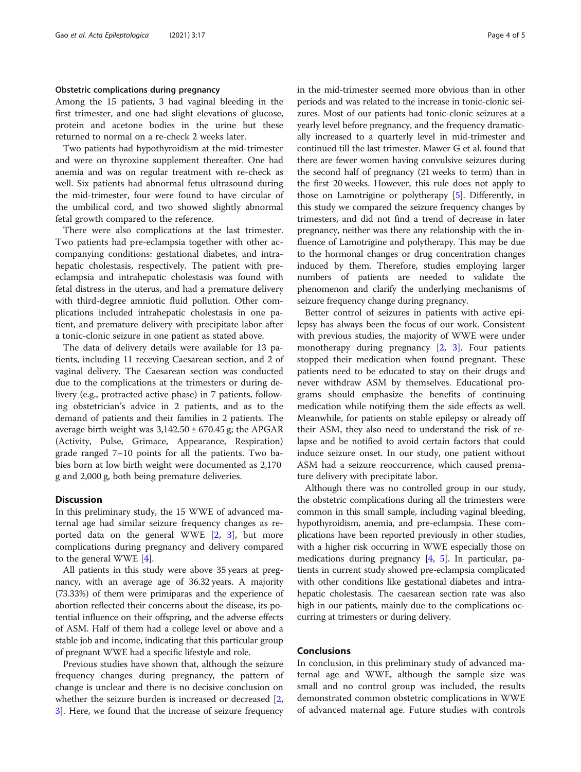### Obstetric complications during pregnancy

Among the 15 patients, 3 had vaginal bleeding in the first trimester, and one had slight elevations of glucose, protein and acetone bodies in the urine but these returned to normal on a re-check 2 weeks later.

Two patients had hypothyroidism at the mid-trimester and were on thyroxine supplement thereafter. One had anemia and was on regular treatment with re-check as well. Six patients had abnormal fetus ultrasound during the mid-trimester, four were found to have circular of the umbilical cord, and two showed slightly abnormal fetal growth compared to the reference.

There were also complications at the last trimester. Two patients had pre-eclampsia together with other accompanying conditions: gestational diabetes, and intrahepatic cholestasis, respectively. The patient with preeclampsia and intrahepatic cholestasis was found with fetal distress in the uterus, and had a premature delivery with third-degree amniotic fluid pollution. Other complications included intrahepatic cholestasis in one patient, and premature delivery with precipitate labor after a tonic-clonic seizure in one patient as stated above.

The data of delivery details were available for 13 patients, including 11 receving Caesarean section, and 2 of vaginal delivery. The Caesarean section was conducted due to the complications at the trimesters or during delivery (e.g., protracted active phase) in 7 patients, following obstetrician's advice in 2 patients, and as to the demand of patients and their families in 2 patients. The average birth weight was  $3,142.50 \pm 670.45$  g; the APGAR (Activity, Pulse, Grimace, Appearance, Respiration) grade ranged 7–10 points for all the patients. Two babies born at low birth weight were documented as 2,170 g and 2,000 g, both being premature deliveries.

# **Discussion**

In this preliminary study, the 15 WWE of advanced maternal age had similar seizure frequency changes as reported data on the general WWE [[2,](#page-4-0) [3\]](#page-4-0), but more complications during pregnancy and delivery compared to the general WWE [[4\]](#page-4-0).

All patients in this study were above 35 years at pregnancy, with an average age of 36.32 years. A majority (73.33%) of them were primiparas and the experience of abortion reflected their concerns about the disease, its potential influence on their offspring, and the adverse effects of ASM. Half of them had a college level or above and a stable job and income, indicating that this particular group of pregnant WWE had a specific lifestyle and role.

Previous studies have shown that, although the seizure frequency changes during pregnancy, the pattern of change is unclear and there is no decisive conclusion on whether the seizure burden is increased or decreased [\[2](#page-4-0), [3\]](#page-4-0). Here, we found that the increase of seizure frequency in the mid-trimester seemed more obvious than in other periods and was related to the increase in tonic-clonic seizures. Most of our patients had tonic-clonic seizures at a yearly level before pregnancy, and the frequency dramatically increased to a quarterly level in mid-trimester and continued till the last trimester. Mawer G et al. found that there are fewer women having convulsive seizures during the second half of pregnancy (21 weeks to term) than in the first 20 weeks. However, this rule does not apply to those on Lamotrigine or polytherapy [\[5\]](#page-4-0). Differently, in this study we compared the seizure frequency changes by trimesters, and did not find a trend of decrease in later pregnancy, neither was there any relationship with the influence of Lamotrigine and polytherapy. This may be due to the hormonal changes or drug concentration changes induced by them. Therefore, studies employing larger numbers of patients are needed to validate the phenomenon and clarify the underlying mechanisms of seizure frequency change during pregnancy.

Better control of seizures in patients with active epilepsy has always been the focus of our work. Consistent with previous studies, the majority of WWE were under monotherapy during pregnancy  $[2, 3]$  $[2, 3]$  $[2, 3]$  $[2, 3]$  $[2, 3]$ . Four patients stopped their medication when found pregnant. These patients need to be educated to stay on their drugs and never withdraw ASM by themselves. Educational programs should emphasize the benefits of continuing medication while notifying them the side effects as well. Meanwhile, for patients on stable epilepsy or already off their ASM, they also need to understand the risk of relapse and be notified to avoid certain factors that could induce seizure onset. In our study, one patient without ASM had a seizure reoccurrence, which caused premature delivery with precipitate labor.

Although there was no controlled group in our study, the obstetric complications during all the trimesters were common in this small sample, including vaginal bleeding, hypothyroidism, anemia, and pre-eclampsia. These complications have been reported previously in other studies, with a higher risk occurring in WWE especially those on medications during pregnancy [\[4,](#page-4-0) [5\]](#page-4-0). In particular, patients in current study showed pre-eclampsia complicated with other conditions like gestational diabetes and intrahepatic cholestasis. The caesarean section rate was also high in our patients, mainly due to the complications occurring at trimesters or during delivery.

# Conclusions

In conclusion, in this preliminary study of advanced maternal age and WWE, although the sample size was small and no control group was included, the results demonstrated common obstetric complications in WWE of advanced maternal age. Future studies with controls